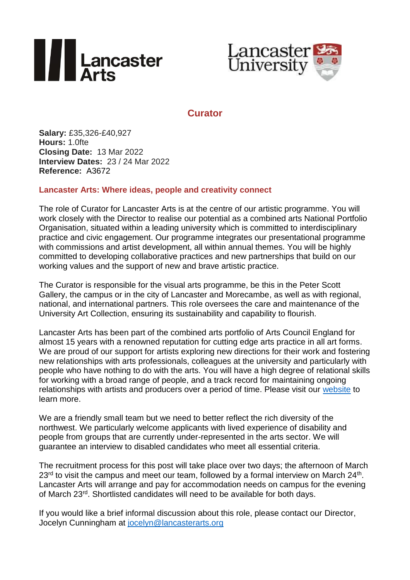



## **Curator**

**Salary:** £35,326-£40,927 **Hours:** 1.0fte **Closing Date:** 13 Mar 2022 **Interview Dates:** 23 / 24 Mar 2022 **Reference:** A3672

## **Lancaster Arts: Where ideas, people and creativity connect**

The role of Curator for Lancaster Arts is at the centre of our artistic programme. You will work closely with the Director to realise our potential as a combined arts National Portfolio Organisation, situated within a leading university which is committed to interdisciplinary practice and civic engagement. Our programme integrates our presentational programme with commissions and artist development, all within annual themes. You will be highly committed to developing collaborative practices and new partnerships that build on our working values and the support of new and brave artistic practice.

The Curator is responsible for the visual arts programme, be this in the Peter Scott Gallery, the campus or in the city of Lancaster and Morecambe, as well as with regional, national, and international partners. This role oversees the care and maintenance of the University Art Collection, ensuring its sustainability and capability to flourish.

Lancaster Arts has been part of the combined arts portfolio of Arts Council England for almost 15 years with a renowned reputation for cutting edge arts practice in all art forms. We are proud of our support for artists exploring new directions for their work and fostering new relationships with arts professionals, colleagues at the university and particularly with people who have nothing to do with the arts. You will have a high degree of relational skills for working with a broad range of people, and a track record for maintaining ongoing relationships with artists and producers over a period of time. Please visit our [website](https://www.lancasterarts.org/) to learn more.

We are a friendly small [team](https://www.lancasterarts.org/wp-content/uploads/LA-group-photo.jpg) but we need to better reflect the rich diversity of the northwest. We particularly welcome applicants with lived experience of disability and people from groups that are currently under-represented in the arts sector. We will guarantee an interview to disabled candidates who meet all essential criteria.

The recruitment process for this post will take place over two days; the afternoon of March  $23<sup>rd</sup>$  to visit the campus and meet our team, followed by a formal interview on March 24<sup>th</sup>. Lancaster Arts will arrange and pay for accommodation needs on campus for the evening of March 23rd. Shortlisted candidates will need to be available for both days.

If you would like a brief informal discussion about this role, please contact our Director, Jocelyn Cunningham at [jocelyn@lancasterarts.org](mailto:jocelyn@lancasterarts.org)